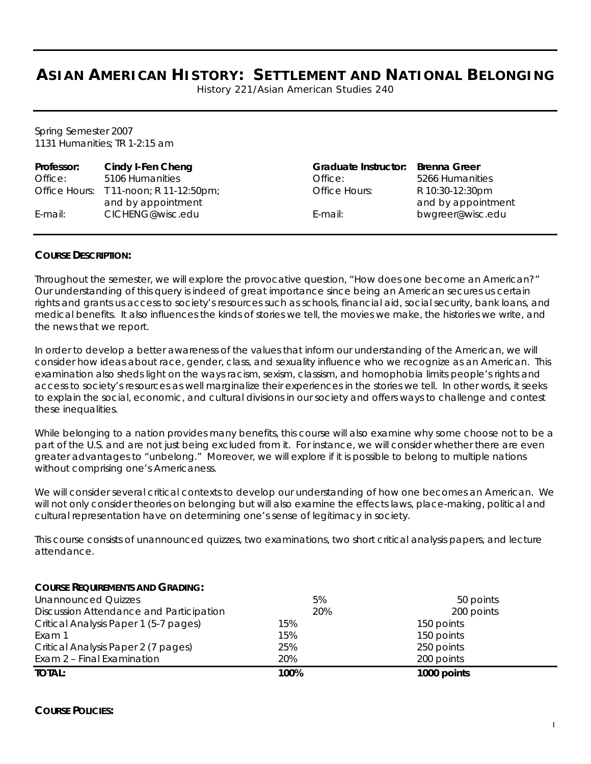# **ASIAN AMERICAN HISTORY: SETTLEMENT AND NATIONAL BELONGING**

History 221/Asian American Studies 240

Spring Semester 2007 1131 Humanities; TR 1-2:15 am

| Professor: | Cindy I-Fen Cheng                      | <b>Graduate Instructor:</b> | Brenna Greer       |
|------------|----------------------------------------|-----------------------------|--------------------|
| Office:    | 5106 Humanities                        | Office:                     | 5266 Humanities    |
|            | Office Hours: T 11-noon; R 11-12:50pm; | Office Hours:               | R 10:30-12:30pm    |
|            | and by appointment                     |                             | and by appointment |
| E-mail:    | CICHENG@wisc.edu                       | $E$ -mail:                  | bwgreer@wisc.edu   |

#### **COURSE DESCRIPTION:**

Throughout the semester, we will explore the provocative question, "How does one become an American?" Our understanding of this query is indeed of great importance since being an American secures us certain rights and grants us access to society's resources such as schools, financial aid, social security, bank loans, and medical benefits. It also influences the kinds of stories we tell, the movies we make, the histories we write, and the news that we report.

In order to develop a better awareness of the values that inform our understanding of the American, we will consider how ideas about race, gender, class, and sexuality influence who we recognize as an American. This examination also sheds light on the ways racism, sexism, classism, and homophobia limits people's rights and access to society's resources as well marginalize their experiences in the stories we tell. In other words, it seeks to explain the social, economic, and cultural divisions in our society and offers ways to challenge and contest these inequalities.

While belonging to a nation provides many benefits, this course will also examine why some choose not to be a part of the U.S. and are not just being excluded from it. For instance, we will consider whether there are even greater advantages to "unbelong." Moreover, we will explore if it is possible to belong to multiple nations without comprising one's Americaness.

We will consider several critical contexts to develop our understanding of how one becomes an American. We will not only consider theories on belonging but will also examine the effects laws, place-making, political and cultural representation have on determining one's sense of legitimacy in society.

This course consists of unannounced quizzes, two examinations, two short critical analysis papers, and lecture attendance.

| <b>TOTAL:</b>                           | 100% | 1000 points |  |
|-----------------------------------------|------|-------------|--|
| Exam 2 - Final Examination              | 20%  | 200 points  |  |
| Critical Analysis Paper 2 (7 pages)     | 25%  | 250 points  |  |
| Exam 1                                  | 15%  | 150 points  |  |
| Critical Analysis Paper 1 (5-7 pages)   | 15%  | 150 points  |  |
| Discussion Attendance and Participation | 20%  | 200 points  |  |
| <b>Unannounced Quizzes</b>              | 5%   | 50 points   |  |
| COURSE REQUIREMENTS AND GRADING:        |      |             |  |

#### **COURSE REQUIREMENTS AND GRADING:**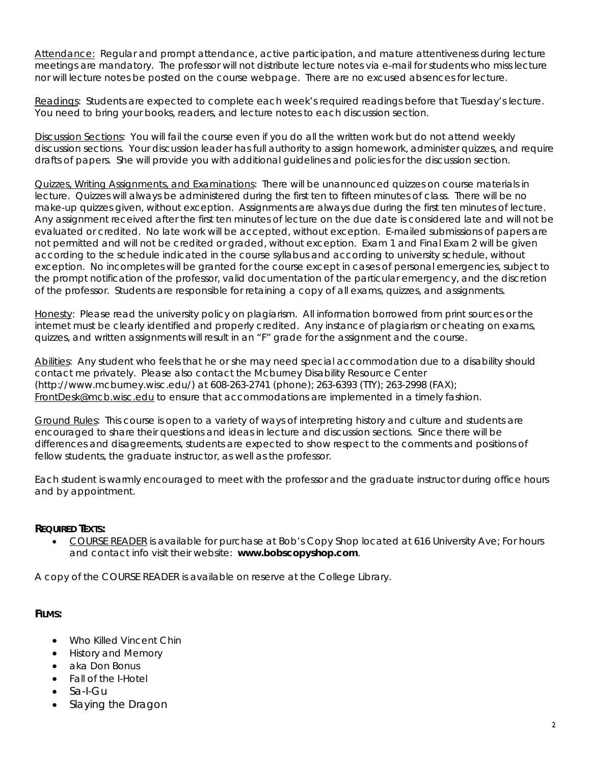Attendance: Regular and prompt attendance, active participation, and mature attentiveness during lecture meetings are mandatory. The professor will not distribute lecture notes via e-mail for students who miss lecture nor will lecture notes be posted on the course webpage. There are no excused absences for lecture.

Readings: Students are expected to complete each week's required readings before that Tuesday's lecture. You need to bring your books, readers, and lecture notes to each discussion section.

Discussion Sections: You will fail the course even if you do all the written work but *do not* attend weekly discussion sections. Your discussion leader has full authority to assign homework, administer quizzes, and require drafts of papers. She will provide you with additional guidelines and policies for the discussion section.

Quizzes, Writing Assignments, and Examinations: There will be unannounced quizzes on course materials in lecture. Quizzes will always be administered during the first ten to fifteen minutes of class. There will be no make-up quizzes given, without exception. Assignments are always due during the first ten minutes of lecture. Any assignment received after the first ten minutes of lecture on the due date is considered late and will not be evaluated or credited. No late work will be accepted, without exception. E-mailed submissions of papers are not permitted and will not be credited or graded, without exception. Exam 1 and Final Exam 2 will be given according to the schedule indicated in the course syllabus and according to university schedule, without exception. No incompletes will be granted for the course except in cases of personal emergencies, subject to the prompt notification of the professor, valid documentation of the particular emergency, and the discretion of the professor. Students are responsible for retaining a copy of all exams, quizzes, and assignments.

Honesty: Please read the university policy on plagiarism. All information borrowed from print sources or the internet must be clearly identified and properly credited. Any instance of plagiarism or cheating on exams, quizzes, and written assignments will result in an "F" grade for the assignment and the course.

Abilities: Any student who feels that he or she may need special accommodation due to a disability should contact me privately. Please also contact the Mcburney Disability Resource Center (http://www.mcburney.wisc.edu/) at 608-263-2741 (phone); 263-6393 (TTY); 263-2998 (FAX); FrontDesk@mcb.wisc.edu to ensure that accommodations are implemented in a timely fashion.

Ground Rules: This course is open to a variety of ways of interpreting history and culture and students are encouraged to share their questions and ideas in lecture and discussion sections. Since there will be differences and disagreements, students are expected to show respect to the comments and positions of fellow students, the graduate instructor, as well as the professor.

Each student is warmly encouraged to meet with the professor and the graduate instructor during office hours and by appointment.

# **REQUIRED TEXTS:**

• COURSE READER is available for purchase at Bob's Copy Shop located at 616 University Ave; For hours and contact info visit their website: **www.bobscopyshop.com**.

A copy of the COURSE READER is available on reserve at the College Library.

# **FILMS:**

- Who Killed Vincent Chin
- History and Memory
- aka Don Bonus
- Fall of the I-Hotel
- Sa-I-Gu
- Slaying the Dragon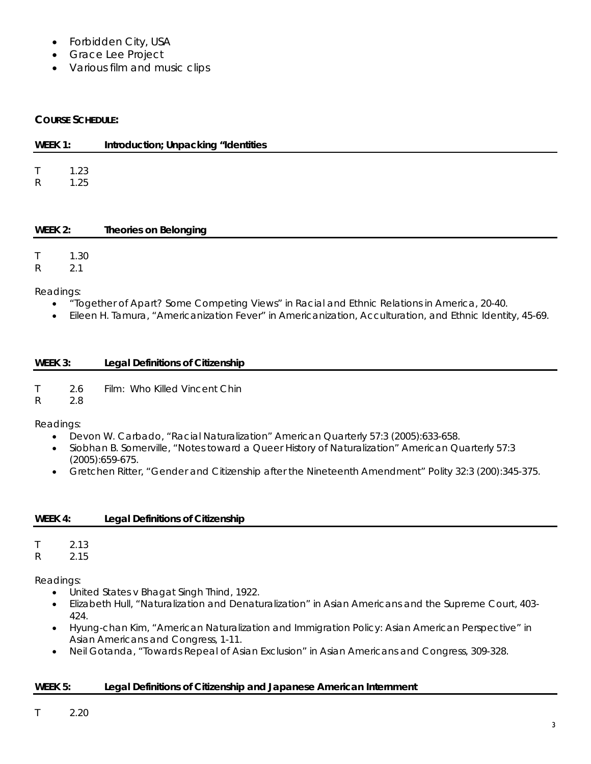- Forbidden City, USA
- Grace Lee Project
- Various film and music clips

# **COURSE SCHEDULE:**

| WEEK 1:                     |              | Introduction; Unpacking "Identities |
|-----------------------------|--------------|-------------------------------------|
| T<br>$\mathsf{R}$           | 1.23<br>1.25 |                                     |
| WEEK 2:                     |              | <b>Theories on Belonging</b>        |
| $\mathsf T$<br>$\mathsf{R}$ | 1.30<br>2.1  |                                     |

Readings:

- "Together of Apart? Some Competing Views" in *Racial and Ethnic Relations in America*, 20-40.
- Eileen H. Tamura, "Americanization Fever" in *Americanization, Acculturation, and Ethnic Identity*, 45-69.

| WEEK 3: | <b>Legal Definitions of Citizenship</b> |
|---------|-----------------------------------------|
|         |                                         |

T 2.6 Film: Who Killed Vincent Chin

R 2.8

Readings:

- Devon W. Carbado, "Racial Naturalization" *American Quarterly* 57:3 (2005):633-658.
- Siobhan B. Somerville, "Notes toward a Queer History of Naturalization" *American Quarterly* 57:3 (2005):659-675.
- Gretchen Ritter, "Gender and Citizenship after the Nineteenth Amendment" *Polity* 32:3 (200):345-375.

| WEEK 4: | <b>Legal Definitions of Citizenship</b> |
|---------|-----------------------------------------|
|---------|-----------------------------------------|

T 2.13

R 2.15

Readings:

- United States v Bhagat Singh Thind, 1922.
- Elizabeth Hull, "Naturalization and Denaturalization" in *Asian Americans and the Supreme Court*, 403- 424.
- Hyung-chan Kim, "American Naturalization and Immigration Policy: Asian American Perspective" in *Asian Americans and Congress*, 1-11.
- Neil Gotanda, "Towards Repeal of Asian Exclusion" in *Asian Americans and Congress*, 309-328.

# **WEEK 5: Legal Definitions of Citizenship and Japanese American Internment**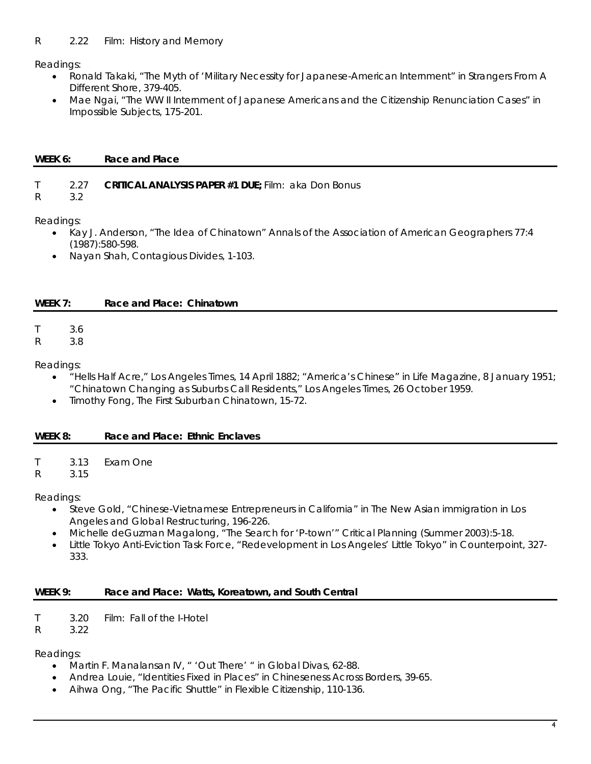Readings:

- Ronald Takaki, "The Myth of 'Military Necessity for Japanese-American Internment" in *Strangers From A Different Shore*, 379-405.
- Mae Ngai, "The WW II Internment of Japanese Americans and the Citizenship Renunciation Cases" in *Impossible Subjects*, 175-201.

# WEEK 6: Race and Place

# T 2.27 **CRITICAL ANALYSIS PAPER #1 DUE;** Film: aka Don Bonus

R 3.2

Readings:

- Kay J. Anderson, "The Idea of Chinatown" *Annals of the Association of American Geographers* 77:4 (1987):580-598.
- Nayan Shah, Contagious Divides, 1-103.

# **WEEK 7: Race and Place: Chinatown**

T 3.6

R 3.8

Readings:

- "Hells Half Acre," *Los Angeles Times*, 14 April 1882; "America's Chinese" in *Life Magazine*, 8 January 1951; "Chinatown Changing as Suburbs Call Residents," *Los Angeles Times*, 26 October 1959.
- Timothy Fong, The First Suburban Chinatown, 15-72.

# **WEEK 8: Race and Place: Ethnic Enclaves**

T 3.13 Exam One

R 3.15

Readings:

- Steve Gold, "Chinese-Vietnamese Entrepreneurs in California" in *The New Asian immigration in Los Angeles and Global Restructuring*, 196-226.
- Michelle deGuzman Magalong, "The Search for 'P-town'" *Critical Planning* (Summer 2003):5-18.
- Little Tokyo Anti-Eviction Task Force, "Redevelopment in Los Angeles' Little Tokyo" in *Counterpoint*, 327- 333.

# **WEEK 9: Race and Place: Watts, Koreatown, and South Central**

T 3.20 Film: Fall of the I-Hotel

R 3.22

Readings:

- Martin F. Manalansan IV, " 'Out There' " in *Global Divas*, 62-88.
- Andrea Louie, "Identities Fixed in Places" in *Chineseness Across Borders,* 39-65.
- Aihwa Ong, "The Pacific Shuttle" in *Flexible Citizenship*, 110-136.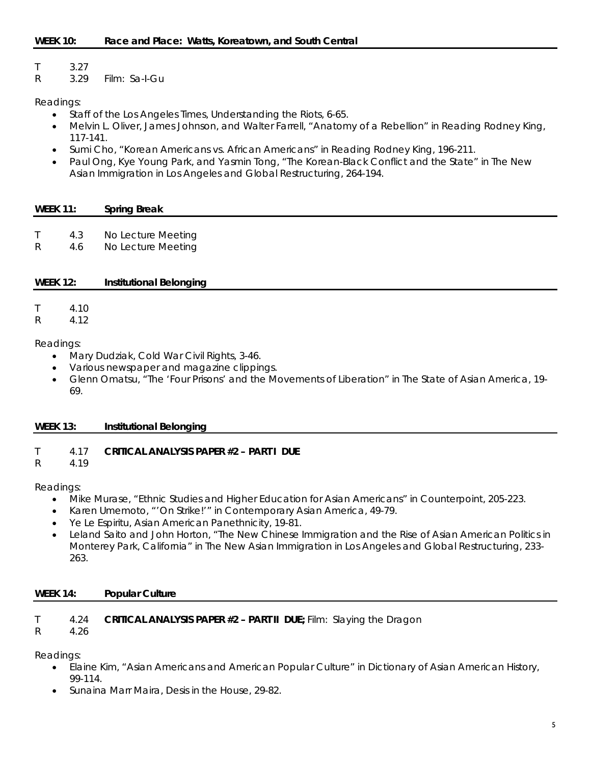T 3.27

R 3.29 Film: Sa-I-Gu

# Readings:

- Staff of the Los Angeles Times, *Understanding the Riots*, 6-65.
- Melvin L. Oliver, James Johnson, and Walter Farrell, "Anatomy of a Rebellion" in *Reading Rodney King*, 117-141.
- Sumi Cho, "Korean Americans vs. African Americans" in *Reading Rodney King*, 196-211.
- Paul Ong, Kye Young Park, and Yasmin Tong, "The Korean-Black Conflict and the State" in *The New Asian Immigration in Los Angeles and Global Restructuring*, 264-194.

#### **WEEK 11: Spring Break**

- T 4.3 No Lecture Meeting
- R 4.6 No Lecture Meeting

# **WEEK 12: Institutional Belonging**

T 4.10

R 4.12

#### Readings:

- Mary Dudziak, *Cold War Civil Rights,* 3-46.
- Various newspaper and magazine clippings.
- Glenn Omatsu, "The 'Four Prisons' and the Movements of Liberation" in *The State of Asian America*, 19- 69.

# **WEEK 13: Institutional Belonging**

# T 4.17 **CRITICAL ANALYSIS PAPER #2 – PART I DUE**

R 4.19

# Readings:

- Mike Murase, "Ethnic Studies and Higher Education for Asian Americans" in *Counterpoint*, 205-223.
- Karen Umemoto, "'On Strike!'" in *Contemporary Asian America*, 49-79.
- Ye Le Espiritu, *Asian American Panethnicity*, 19-81.
- Leland Saito and John Horton, "The New Chinese Immigration and the Rise of Asian American Politics in Monterey Park, California" in *The New Asian Immigration in Los Angeles and Global Restructuring*, 233- 263.

#### **WEEK 14: Popular Culture**

# T 4.24 **CRITICAL ANALYSIS PAPER #2 –** *PART II* **DUE;** Film: Slaying the Dragon

R 4.26

Readings:

- Elaine Kim, "Asian Americans and American Popular Culture" in *Dictionary of Asian American History*, 99-114.
- Sunaina Marr Maira, *Desis in the House*, 29-82.